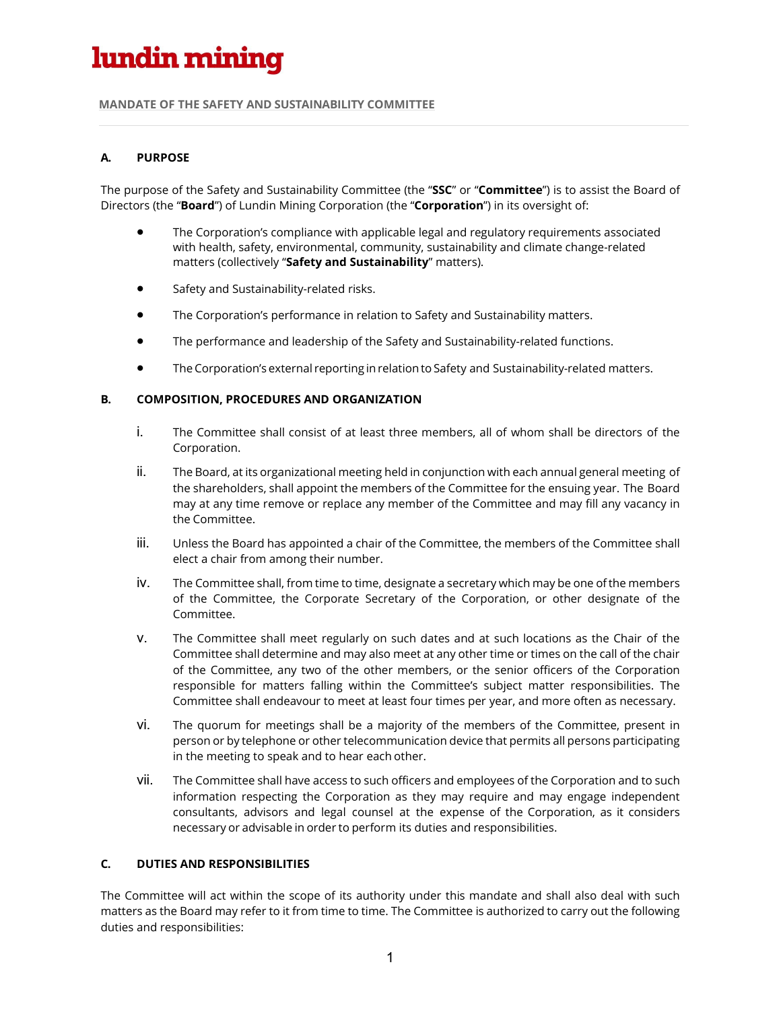# lundin mining

#### **MANDATE OF THE SAFETY AND SUSTAINABILITY COMMITTEE**

## **A. PURPOSE**

The purpose of the Safety and Sustainability Committee (the "**SSC**" or "**Committee**") is to assist the Board of Directors (the "**Board**") of Lundin Mining Corporation (the "**Corporation**") in its oversight of:

- The Corporation's compliance with applicable legal and regulatory requirements associated with health, safety, environmental, community, sustainability and climate change-related matters (collectively "**Safety and Sustainability**" matters).
- Safety and Sustainability-related risks.
- The Corporation's performance in relation to Safety and Sustainability matters.
- The performance and leadership of the Safety and Sustainability-related functions.
- The Corporation's external reporting inrelationto Safety and Sustainability-related matters.

## **B. COMPOSITION, PROCEDURES AND ORGANIZATION**

- i. The Committee shall consist of at least three members, all of whom shall be directors of the Corporation.
- ii. The Board, at its organizational meeting held in conjunction with each annual general meeting of the shareholders, shall appoint the members of the Committee for the ensuing year. The Board may at any time remove or replace any member of the Committee and may fill any vacancy in the Committee.
- iii. Unless the Board has appointed a chair of the Committee, the members of the Committee shall elect a chair from among their number.
- iv. The Committee shall, from time to time, designate a secretary which may be one of the members of the Committee, the Corporate Secretary of the Corporation, or other designate of the Committee.
- v. The Committee shall meet regularly on such dates and at such locations as the Chair of the Committee shall determine and may also meet at any other time or times on the call of the chair of the Committee, any two of the other members, or the senior officers of the Corporation responsible for matters falling within the Committee's subject matter responsibilities. The Committee shall endeavour to meet at least four times per year, and more often as necessary.
- vi. The quorum for meetings shall be a majority of the members of the Committee, present in person or by telephone or other telecommunication device that permits all persons participating in the meeting to speak and to hear each other.
- vii. The Committee shall have access to such officers and employees of the Corporation and to such information respecting the Corporation as they may require and may engage independent consultants, advisors and legal counsel at the expense of the Corporation, as it considers necessary or advisable in order to perform its duties and responsibilities.

## **C. DUTIES AND RESPONSIBILITIES**

The Committee will act within the scope of its authority under this mandate and shall also deal with such matters as the Board may refer to it from time to time. The Committee is authorized to carry out the following duties and responsibilities: